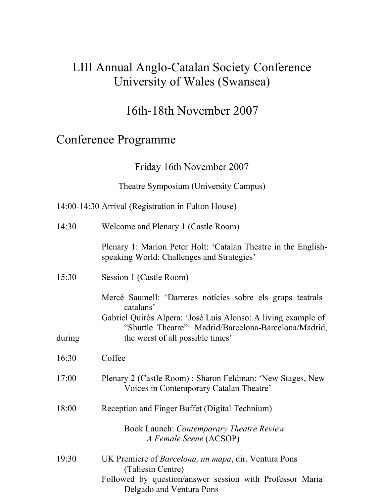# LIII Annual Anglo-Catalan Society Conference University of Wales (Swansea)

# 16th-18th November 2007

# Conference Programme

Friday 16th November 2007

Theatre Symposium (University Campus)

| 14:30  | Welcome and Plenary 1 (Castle Room)                                                                                                                                                               |
|--------|---------------------------------------------------------------------------------------------------------------------------------------------------------------------------------------------------|
|        | Plenary 1: Marion Peter Holt: 'Catalan Theatre in the English-<br>speaking World: Challenges and Strategies'                                                                                      |
| 15:30  | Session 1 (Castle Room)                                                                                                                                                                           |
|        | Mercè Saumell: 'Darreres notícies sobre els grups teatrals<br>catalans'<br>Gabriel Quirós Alpera: 'José Luis Alonso: A living example of<br>"Shuttle Theatre": Madrid/Barcelona-Barcelona/Madrid, |
| during | the worst of all possible times'                                                                                                                                                                  |
| 16:30  | Coffee                                                                                                                                                                                            |
| 17:00  | Plenary 2 (Castle Room): Sharon Feldman: 'New Stages, New<br>Voices in Contemporary Catalan Theatre'                                                                                              |
| 18:00  | Reception and Finger Buffet (Digital Technium)                                                                                                                                                    |
|        | Book Launch: Contemporary Theatre Review<br>A Female Scene (ACSOP)                                                                                                                                |
| 19:30  | UK Premiere of Barcelona, un mapa, dir. Ventura Pons<br>(Taliesin Centre)<br>Followed by question/answer session with Professor Maria<br>Delgado and Ventura Pons                                 |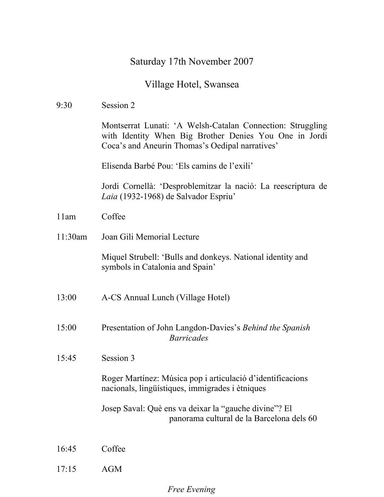# Saturday 17th November 2007

# Village Hotel, Swansea

| 9:30    | Session 2                                                                                                                                                               |
|---------|-------------------------------------------------------------------------------------------------------------------------------------------------------------------------|
|         | Montserrat Lunati: 'A Welsh-Catalan Connection: Struggling<br>with Identity When Big Brother Denies You One in Jordi<br>Coca's and Aneurin Thomas's Oedipal narratives' |
|         | Elisenda Barbé Pou: 'Els camins de l'exili'                                                                                                                             |
|         | Jordi Cornellà: 'Desproblemitzar la nació: La reescriptura de<br>Laia (1932-1968) de Salvador Espriu <sup>7</sup>                                                       |
| 11am    | Coffee                                                                                                                                                                  |
| 11:30am | Joan Gili Memorial Lecture                                                                                                                                              |
|         | Miquel Strubell: 'Bulls and donkeys. National identity and<br>symbols in Catalonia and Spain'                                                                           |
| 13:00   | A-CS Annual Lunch (Village Hotel)                                                                                                                                       |
| 15:00   | Presentation of John Langdon-Davies's Behind the Spanish<br><b>Barricades</b>                                                                                           |
| 15:45   | Session 3                                                                                                                                                               |
|         | Roger Martínez: Música pop i articulació d'identificacions<br>nacionals, lingüístiques, immigrades i ètniques                                                           |
|         | Josep Saval: Què ens va deixar la "gauche divine"? El<br>panorama cultural de la Barcelona dels 60                                                                      |
| 16:45   | Coffee                                                                                                                                                                  |
| 17:15   | AGM                                                                                                                                                                     |

#### *Free Evening*